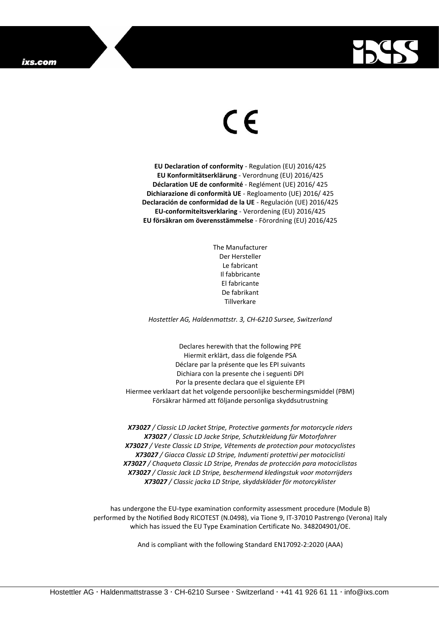

## $\epsilon$

**EU Declaration of conformity** - Regulation (EU) 2016/425 **EU Konformitätserklärung** - Verordnung (EU) 2016/425 **Déclaration UE de conformité** - Reglément (UE) 2016/ 425 **Dichiarazione di conformità UE** - Regloamento (UE) 2016/ 425 **Declaración de conformidad de la UE** - Regulación (UE) 2016/425 **EU-conformiteitsverklaring** - Verordening (EU) 2016/425 **EU försäkran om överensstämmelse** - Förordning (EU) 2016/425

> The Manufacturer Der Hersteller Le fabricant Il fabbricante El fabricante De fabrikant Tillverkare

*Hostettler AG, Haldenmattstr. 3, CH-6210 Sursee, Switzerland*

Declares herewith that the following PPE Hiermit erklärt, dass die folgende PSA Déclare par la présente que les EPI suivants Dichiara con la presente che i seguenti DPI Por la presente declara que el siguiente EPI Hiermee verklaart dat het volgende persoonlijke beschermingsmiddel (PBM) Försäkrar härmed att följande personliga skyddsutrustning

*X73027 / Classic LD Jacket Stripe, Protective garments for motorcycle riders X73027 / Classic LD Jacke Stripe, Schutzkleidung für Motorfahrer X73027 / Veste Classic LD Stripe, Vêtements de protection pour motocyclistes X73027 / Giacca Classic LD Stripe, Indumenti protettivi per motociclisti X73027 / Chaqueta Classic LD Stripe, Prendas de protección para motociclistas X73027 / Classic Jack LD Stripe, beschermend kledingstuk voor motorrijders X73027 / Classic jacka LD Stripe, skyddskläder för motorcyklister*

has undergone the EU-type examination conformity assessment procedure (Module B) performed by the Notified Body RICOTEST (N.0498), via Tione 9, IT-37010 Pastrengo (Verona) Italy which has issued the EU Type Examination Certificate No. 348204901/OE.

And is compliant with the following Standard EN17092-2:2020 (AAA)